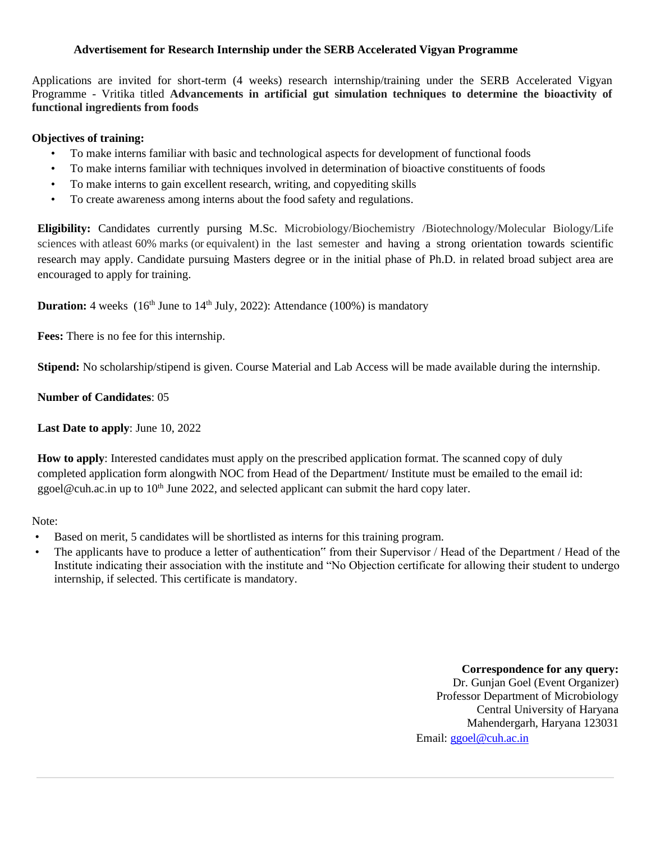#### **Advertisement for Research Internship under the SERB Accelerated Vigyan Programme**

Applications are invited for short-term (4 weeks) research internship/training under the SERB Accelerated Vigyan Programme - Vritika titled **Advancements in artificial gut simulation techniques to determine the bioactivity of functional ingredients from foods**

#### **Objectives of training:**

- To make interns familiar with basic and technological aspects for development of functional foods
- To make interns familiar with techniques involved in determination of bioactive constituents of foods
- To make interns to gain excellent research, writing, and copyediting skills
- To create awareness among interns about the food safety and regulations.

**Eligibility:** Candidates currently pursing M.Sc. Microbiology/Biochemistry /Biotechnology/Molecular Biology/Life sciences with atleast 60% marks (or equivalent) in the last semester and having a strong orientation towards scientific research may apply. Candidate pursuing Masters degree or in the initial phase of Ph.D. in related broad subject area are encouraged to apply for training.

**Duration:** 4 weeks (16<sup>th</sup> June to 14<sup>th</sup> July, 2022): Attendance (100%) is mandatory

**Fees:** There is no fee for this internship.

**Stipend:** No scholarship/stipend is given. Course Material and Lab Access will be made available during the internship.

**Number of Candidates**: 05

**Last Date to apply**: June 10, 2022

**How to apply**: Interested candidates must apply on the prescribed application format. The scanned copy of duly completed application form alongwith NOC from Head of the Department/ Institute must be emailed to the email id: ggoel@cuh.ac.in up to  $10<sup>th</sup>$  June 2022, and selected applicant can submit the hard copy later.

#### Note:

- Based on merit, 5 candidates will be shortlisted as interns for this training program.
- The applicants have to produce a letter of authentication" from their Supervisor / Head of the Department / Head of the Institute indicating their association with the institute and "No Objection certificate for allowing their student to undergo internship, if selected. This certificate is mandatory.

**Correspondence for any query:** Dr. Gunjan Goel (Event Organizer) Professor Department of Microbiology Central University of Haryana Mahendergarh, Haryana 123031 Email: [ggoel@cuh.ac.in](mailto:ggoel@cuh.ac.in)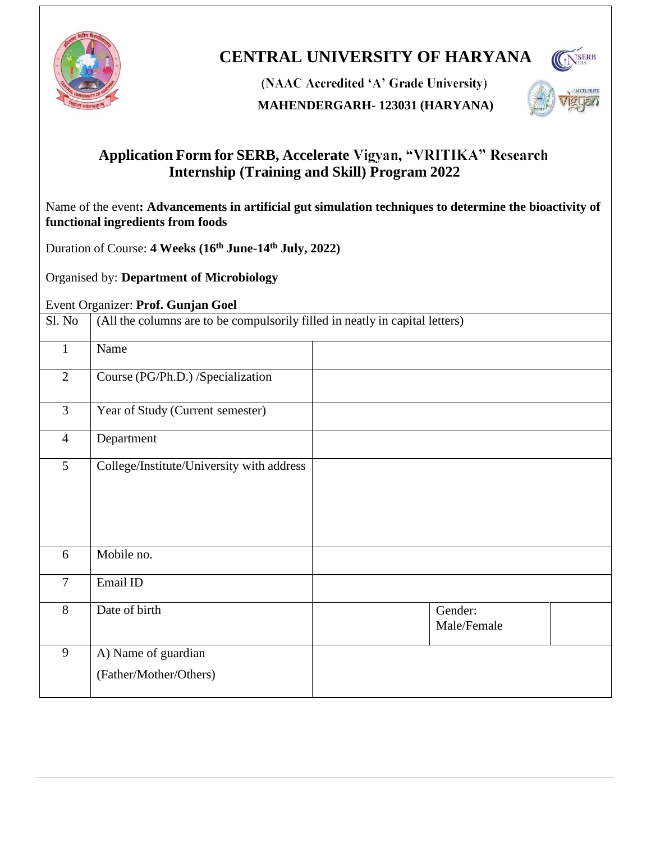

# **CENTRAL UNIVERSITY OF HARYANA**



(NAAC Accredited 'A' Grade University)

# **MAHENDERGARH- 123031 (HARYANA)**



# **Application Form for SERB, Accelerate Internship (Training and Skill) Program 2022**

Name of the event**: Advancements in artificial gut simulation techniques to determine the bioactivity of functional ingredients from foods**

Duration of Course: **4 Weeks (16th June-14 th July, 2022)**

Organised by: **Department of Microbiology**

# Event Organizer: **Prof. Gunjan Goel**

| Sl. No         | (All the columns are to be compulsorily filled in neatly in capital letters) |                        |  |  |  |
|----------------|------------------------------------------------------------------------------|------------------------|--|--|--|
| $\mathbf{1}$   | Name                                                                         |                        |  |  |  |
| $\overline{2}$ | Course (PG/Ph.D.) /Specialization                                            |                        |  |  |  |
| $\overline{3}$ | Year of Study (Current semester)                                             |                        |  |  |  |
| $\overline{4}$ | Department                                                                   |                        |  |  |  |
| 5              | College/Institute/University with address                                    |                        |  |  |  |
| 6              | Mobile no.                                                                   |                        |  |  |  |
| $\overline{7}$ | Email ID                                                                     |                        |  |  |  |
| 8              | Date of birth                                                                | Gender:<br>Male/Female |  |  |  |
| 9              | A) Name of guardian                                                          |                        |  |  |  |
|                | (Father/Mother/Others)                                                       |                        |  |  |  |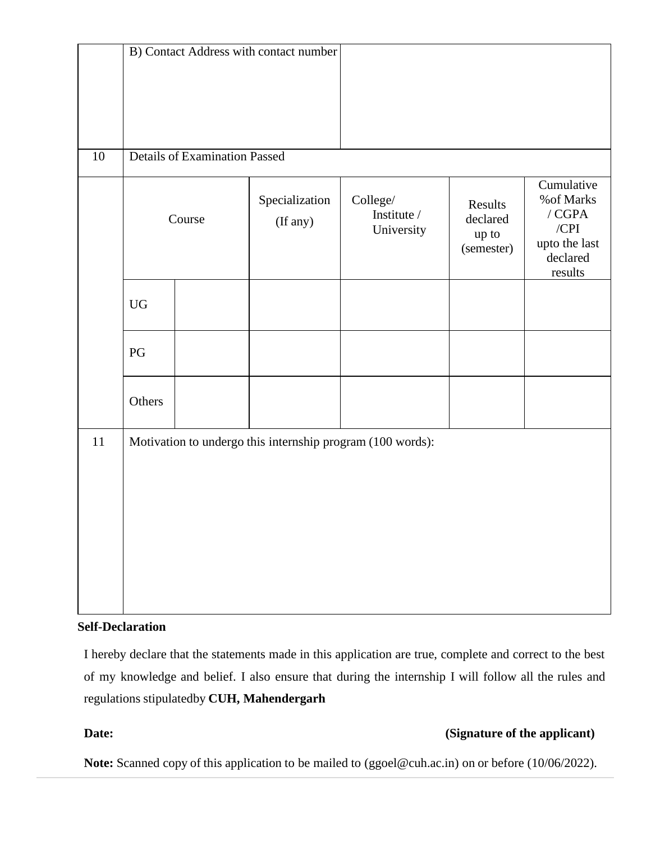| B) Contact Address with contact number                     |  |                            |                                       |                                            |                                                                                         |  |
|------------------------------------------------------------|--|----------------------------|---------------------------------------|--------------------------------------------|-----------------------------------------------------------------------------------------|--|
|                                                            |  |                            |                                       |                                            |                                                                                         |  |
|                                                            |  |                            |                                       |                                            |                                                                                         |  |
|                                                            |  |                            |                                       |                                            |                                                                                         |  |
| <b>Details of Examination Passed</b>                       |  |                            |                                       |                                            |                                                                                         |  |
| Course                                                     |  | Specialization<br>(If any) | College/<br>Institute /<br>University | Results<br>declared<br>up to<br>(semester) | Cumulative<br>% of Marks<br>$/$ CGPA<br>$/$ CPI<br>upto the last<br>declared<br>results |  |
| <b>UG</b>                                                  |  |                            |                                       |                                            |                                                                                         |  |
| PG                                                         |  |                            |                                       |                                            |                                                                                         |  |
| Others                                                     |  |                            |                                       |                                            |                                                                                         |  |
| Motivation to undergo this internship program (100 words): |  |                            |                                       |                                            |                                                                                         |  |
|                                                            |  |                            |                                       |                                            |                                                                                         |  |
|                                                            |  |                            |                                       |                                            |                                                                                         |  |
|                                                            |  |                            |                                       |                                            |                                                                                         |  |
|                                                            |  |                            |                                       |                                            |                                                                                         |  |
|                                                            |  |                            |                                       |                                            |                                                                                         |  |
|                                                            |  |                            |                                       |                                            |                                                                                         |  |
|                                                            |  |                            |                                       |                                            |                                                                                         |  |

## **Self-Declaration**

I hereby declare that the statements made in this application are true, complete and correct to the best of my knowledge and belief. I also ensure that during the internship I will follow all the rules and regulations stipulatedby **CUH, Mahendergarh**

# **Date:** (Signature of the applicant)

**Note:** Scanned copy of this application to be mailed to (ggoel@cuh.ac.in) on or before (10/06/2022).